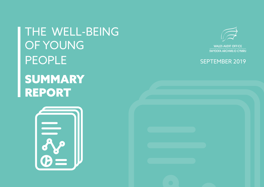THE WELL-BEING OF YOUNG PEOPLE SUMMARY REPORT





SWYDDFA ARCHWILIO CYMRU

# SEPTEMBER 2019

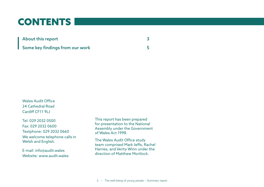# CONTENTS

| <b>About this report</b>        |  |
|---------------------------------|--|
| Some key findings from our work |  |

Wales Audit Office 24 Cathedral Road Cardiff CF11 9LJ

Tel: 029 2032 0500 Fax: 029 2032 0600 Textphone: 029 2032 0660 We welcome telephone calls in Welsh and English.

E-mail: info@audit.wales Website: www.audit.wales This report has been prepared for presentation to the National Assembly under the Government of Wales Act 1998.

The Wales Audit Office study team comprised Mark Jeffs, Rachel Harries, and Verity Winn under the direction of Matthew Mortlock.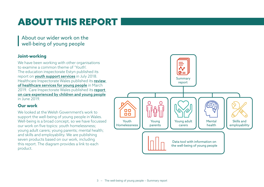# ABOUT THIS REPORT

About our wider work on the well-being of young people

## **Joint-working**

We have been working with other organisations to examine a common theme of 'Youth'. The education inspectorate Estyn published its report on **[youth support services](https://www.estyn.gov.wales/thematic-reports/youth-support-services-wales)** in July 2018. Healthcare Inspectorate Wales published its review [of healthcare services for young people](https://hiw.org.uk/hiw-publishes-review-healthcare-services-young-people) in March 2019. Care Inspectorate Wales published its report [on care experienced by children and young people](https://careinspectorate.wales/sites/default/files/2019-06/190619-national-overview-report-en_2.pdf) in June 2019.

## **Our work**

We looked at the Welsh Government's work to support the well-being of young people in Wales. Well-being is a broad concept, so we have focussed our work on five topics: youth homelessness; young adult carers; young parents; mental health; and skills and employability. We are publishing seven products based on our work, including this report. The diagram provides a link to each product.

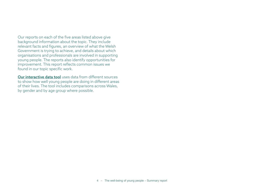Our reports on each of the five areas listed above give background information about the topic. They include relevant facts and figures, an overview of what the Welsh Government is trying to achieve, and details about which organisations and professionals are involved in supporting young people. The reports also identify opportunities for improvement. This report reflects common issues we found in our topic specific work.

[Our interactive data tool](https://app.powerbi.com/view?r=eyJrIjoiOTU0YzA3ZmEtNzBmZi00OTgwLWI5MjktNGUyOWRmMDNkYzI4IiwidCI6ImRmZDY5MmYwLTE2YmYtNDQ0OS04OGUzLWU3NzM1ZGZjY2ZlOCIsImMiOjh9) uses data from different sources to show how well young people are doing in different areas of their lives. The tool includes comparisons across Wales, by gender and by age group where possible.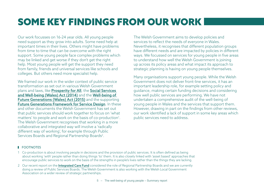# SOME KEY FINDINGS FROM OUR WORK

Our work focusses on 16-24 year olds. All young people need support as they grow into adults. Some need help at important times in their lives. Others might have problems from time to time that can be overcome with the right support. Some young people face complex problems which may be linked and get worse if they don't get the right help. Most young people will get the support they need from family, friends and universal services like schools and colleges. But others need more specialist help.

We framed our work in the wider context of public service transformation as set out in various Welsh Government plans and laws, like [Prosperity for All](https://gov.wales/docs/strategies/170919-prosperity-for-all-en.pdf), the [Social Services](https://www.legislation.gov.uk/anaw/2014/4/contents)  [and Well-being \(Wales\) Act \(2014\)](https://www.legislation.gov.uk/anaw/2014/4/contents) and the [Well-being of](http://www.legislation.gov.uk/anaw/2015/2/contents/enacted)  [Future Generations \(Wales\) Act \(2015\)](http://www.legislation.gov.uk/anaw/2015/2/contents/enacted) and the supporting [Future Generations Framework for Service Design](https://gov.wales/topics/improvingservices/future-generations-framework-for-service-design/?lang=en). In these and other documents the Welsh Government has set out that public services should work together to focus on 'what matters' to people and work on the basis of co-production<sup>1</sup>. The Welsh Government recognises that working in a more collaborative and integrated way will involve a 'radically different way of working', for example through Public Services Boards and Regional Partnership Boards<sup>2</sup>.

The Welsh Government aims to develop policies and services to reflect the needs of everyone in Wales. Nevertheless, it recognises that different population groups have different needs and are impacted by policies in different ways. We focussed on services for young people in five areas to understand how well the Welsh Government is joining up across its policy areas and what impact its approach to strategic planning is having on young people themselves.

Many organisations support young people. While the Welsh Government does not deliver front-line services, it has an important leadership role, for example setting policy and guidance, making certain funding decisions and considering how well public services are performing. We have not undertaken a comprehensive audit of the well-being of young people in Wales and the services that support them. However, drawing in part on the findings from other reviews, our work identified a lack of support in some key areas which public services need to address.

### **ECOTNOTES**

- 1 Co-production is about involving people in decisions and the provision of public services. It is often defined as being about working 'with' people rather than doing things 'to' them. It is also closely linked with 'asset based' approaches that encourage public services to work on the basis of the strengths in people's lives rather than the things they are lacking.
- 2 Our recent report on the **[Integrated Care Fund](http://www.audit.wales/system/files/publications/integrated-care-fund-report-eng.pdf)** considered the role of Regional Partnership Boards and we are currently doing a review of Public Services Boards. The Welsh Government is also working with the Welsh Local Government Association on a wider review of strategic partnerships.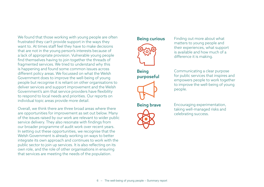We found that those working with young people are often frustrated they can't provide support in the ways they want to. At times staff feel they have to make decisions that are not in the young person's interests because of a lack of appropriate provision. Vulnerable young people find themselves having to join together the threads of fragmented services. We tried to understand why this is happening and found some common issues across different policy areas. We focussed on what the Welsh Government does to improve the well-being of young people but recognise it is reliant on other organisations to deliver services and support improvement and the Welsh Government's aim that service providers have flexibility to respond to local needs and priorities. Our reports on individual topic areas provide more detail.

Overall, we think there are three broad areas where there are opportunities for improvement as set out below. Many of the issues raised by our work are relevant to wider public service delivery. They also resonate with findings from our broader programme of audit work over recent years. In setting out these opportunities, we recognise that the Welsh Government is already working on ways to better integrate its own approach and continues to work with the public sector to join up services. It is also reflecting on its own role, and the role of other organisations in ensuring that services are meeting the needs of the population.



**Being curious** Finding out more about what matters to young people and their experiences, what support is available and how much of a difference it is making.

**Being** purposeful



Communicating a clear purpose for public services that inspires and empowers people to work together to improve the well-being of young people.



**Being brave** Encouraging experimentation, taking well-managed risks and celebrating success.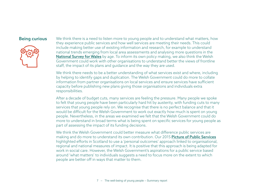

**Being curious** We think there is a need to listen more to young people and to understand what matters, how they experience public services and how well services are meeting their needs. This could include making better use of existing information and research, for example to understand national trends emerging from local area assessments and analysing more questions in the [National Survey for Wales](https://gov.wales/statistics-and-research/national-survey/?lang=en) by age. To inform its own policy making, we also think the Welsh Government could work with other organisations to understand better the views of frontline staff, the impact of its plans and guidance and the way they are used.

> We think there needs to be a better understanding of what services exist and where, including by helping to identify gaps and duplication. The Welsh Government could do more to collate information from partner organisations on local services and ensure services have sufficient capacity before publishing new plans giving those organisations and individuals extra responsibilities.

After a decade of budget cuts, many services are feeling the pressure. Many people we spoke to felt that young people have been particularly hard hit by austerity, with funding cuts to many services that young people rely on. We recognise that there is no perfect balance and that it would be difficult for the Welsh Government to work out exactly how much is spent on young people. Nevertheless, in the areas we examined we felt that the Welsh Government could do more to understand in broad terms what is being spent on specific services for young people as part of assessing the impact of its funding decisions.

We think the Welsh Government could better measure what difference public services are making and do more to understand its own contribution. Our 2015 **[Picture of Public Services](http://www.audit.wales/system/files/publications/POPS_2015_eng-accessible.pdf)** highlighted efforts in Scotland to use a 'personal outcomes' approach linked to organisational, regional and national measures of impact. It is positive that this approach is being adapted for work in social care. However, the Welsh Government's aspirations for a public service based around 'what matters' to individuals suggests a need to focus more on the extent to which people are better off in ways that matter to them.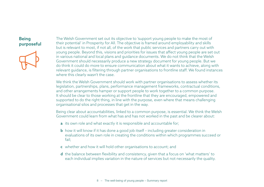## Being purposeful



The Welsh Government set out its objective to 'support young people to make the most of their potential' in Prosperity for All. The objective is framed around employability and skills but is relevant to most, if not all, of the work that public services and partners carry out with young people. Beyond this, visions and priorities for issues that affect young people are set out in various national and local plans and guidance documents. We do not think that the Welsh Government should necessarily produce a new strategy document for young people. But we do think it could do more to ensure communication about what it wants to achieve, along with relevant guidance, is filtering through partner organisations to frontline staff. We found instances where this clearly wasn't the case.

We think the Welsh Government should work with partner organisations to assess whether its legislation, partnerships, plans, performance management frameworks, contractual conditions, and other arrangements hamper or support people to work together to a common purpose. It should be clear to those working at the frontline that they are encouraged, empowered and supported to do the right thing, in line with the purpose, even where that means challenging organisational silos and processes that get in the way.

Being clear about accountabilities, linked to a common purpose, is essential. We think the Welsh Government could learn from what has and has not worked in the past and be clearer about:

- a its own role and what exactly it is responsible and accountable for;
- **b** how it will know if it has done a good job itself including greater consideration in evaluations of its own role in creating the conditions within which programmes succeed or fail;
- c whether and how it will hold other organisations to account; and
- d the balance between flexibility and consistency, given that a focus on 'what matters' to each individual implies variation in the nature of services but not necessarily the quality.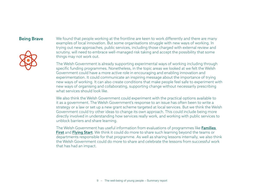

**Being Brave** We found that people working at the frontline are keen to work differently and there are many examples of local innovation. But some organisations struggle with new ways of working. In trying out new approaches, public services, including those charged with external review and scrutiny, will need to embrace well-managed risk taking and accept the possibility that some things may not work out.

> The Welsh Government is already supporting experimental ways of working including through specific funding programmes. Nonetheless, in the topic areas we looked at we felt the Welsh Government could have a more active role in encouraging and enabling innovation and experimentation. It could communicate an inspiring message about the importance of trying new ways of working. It can also create conditions that make people feel safe to experiment with new ways of organising and collaborating, supporting change without necessarily prescribing what services should look like.

> We also think the Welsh Government could experiment with the practical options available to it as a government. The Welsh Government's response to an issue has often been to write a strategy or a law or set up a new grant scheme targeted at local services. But we think the Welsh Government could try other ideas to change its own approach. This could include being more directly involved in understanding how services really work, and working with public services to unblock barriers and share learning.

> The Welsh Government has useful information from evaluations of programmes like Families [First](https://gov.wales/statistics-and-research/national-evaluation-families-first/?lang=en) and [Flying Start](https://gov.wales/statistics-and-research/national-evaluation-flying-start/?lang=en). We think it could do more to share such learning beyond the teams or departments responsible for that programme. As well as sharing lessons internally, we also think the Welsh Government could do more to share and celebrate the lessons from successful work that has had an impact.